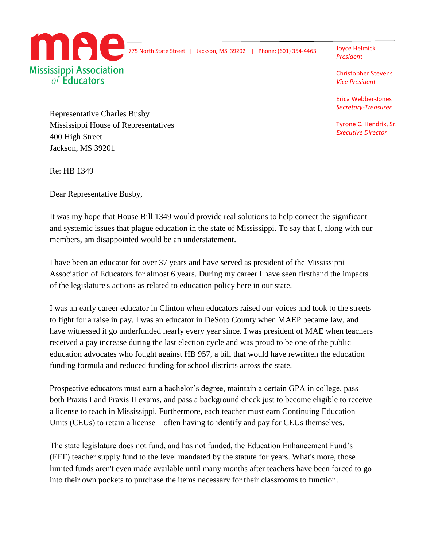

775 North State Street | Jackson, MS 39202 | Phone: (601) 354-4463 Joyce Helmick

*President*

Christopher Stevens *Vice President*

Erica Webber-Jones *Secretary-Treasurer*

Tyrone C. Hendrix, Sr. *Executive Director*

Representative Charles Busby Mississippi House of Representatives 400 High Street Jackson, MS 39201

Re: HB 1349

Dear Representative Busby,

It was my hope that House Bill 1349 would provide real solutions to help correct the significant and systemic issues that plague education in the state of Mississippi. To say that I, along with our members, am disappointed would be an understatement.

I have been an educator for over 37 years and have served as president of the Mississippi Association of Educators for almost 6 years. During my career I have seen firsthand the impacts of the legislature's actions as related to education policy here in our state.

I was an early career educator in Clinton when educators raised our voices and took to the streets to fight for a raise in pay. I was an educator in DeSoto County when MAEP became law, and have witnessed it go underfunded nearly every year since. I was president of MAE when teachers received a pay increase during the last election cycle and was proud to be one of the public education advocates who fought against HB 957, a bill that would have rewritten the education funding formula and reduced funding for school districts across the state.

Prospective educators must earn a bachelor's degree, maintain a certain GPA in college, pass both Praxis I and Praxis II exams, and pass a background check just to become eligible to receive a license to teach in Mississippi. Furthermore, each teacher must earn Continuing Education Units (CEUs) to retain a license—often having to identify and pay for CEUs themselves.

The state legislature does not fund, and has not funded, the Education Enhancement Fund's (EEF) teacher supply fund to the level mandated by the statute for years. What's more, those limited funds aren't even made available until many months after teachers have been forced to go into their own pockets to purchase the items necessary for their classrooms to function.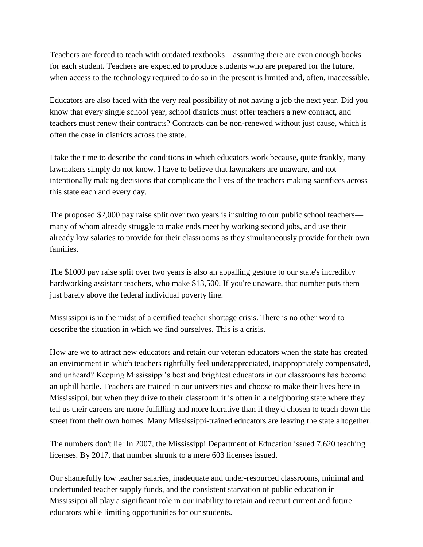Teachers are forced to teach with outdated textbooks—assuming there are even enough books for each student. Teachers are expected to produce students who are prepared for the future, when access to the technology required to do so in the present is limited and, often, inaccessible.

Educators are also faced with the very real possibility of not having a job the next year. Did you know that every single school year, school districts must offer teachers a new contract, and teachers must renew their contracts? Contracts can be non-renewed without just cause, which is often the case in districts across the state.

I take the time to describe the conditions in which educators work because, quite frankly, many lawmakers simply do not know. I have to believe that lawmakers are unaware, and not intentionally making decisions that complicate the lives of the teachers making sacrifices across this state each and every day.

The proposed \$2,000 pay raise split over two years is insulting to our public school teachers many of whom already struggle to make ends meet by working second jobs, and use their already low salaries to provide for their classrooms as they simultaneously provide for their own families.

The \$1000 pay raise split over two years is also an appalling gesture to our state's incredibly hardworking assistant teachers, who make \$13,500. If you're unaware, that number puts them just barely above the federal individual poverty line.

Mississippi is in the midst of a certified teacher shortage crisis. There is no other word to describe the situation in which we find ourselves. This is a crisis.

How are we to attract new educators and retain our veteran educators when the state has created an environment in which teachers rightfully feel underappreciated, inappropriately compensated, and unheard? Keeping Mississippi's best and brightest educators in our classrooms has become an uphill battle. Teachers are trained in our universities and choose to make their lives here in Mississippi, but when they drive to their classroom it is often in a neighboring state where they tell us their careers are more fulfilling and more lucrative than if they'd chosen to teach down the street from their own homes. Many Mississippi-trained educators are leaving the state altogether.

The numbers don't lie: In 2007, the Mississippi Department of Education issued 7,620 teaching licenses. By 2017, that number shrunk to a mere 603 licenses issued.

Our shamefully low teacher salaries, inadequate and under-resourced classrooms, minimal and underfunded teacher supply funds, and the consistent starvation of public education in Mississippi all play a significant role in our inability to retain and recruit current and future educators while limiting opportunities for our students.